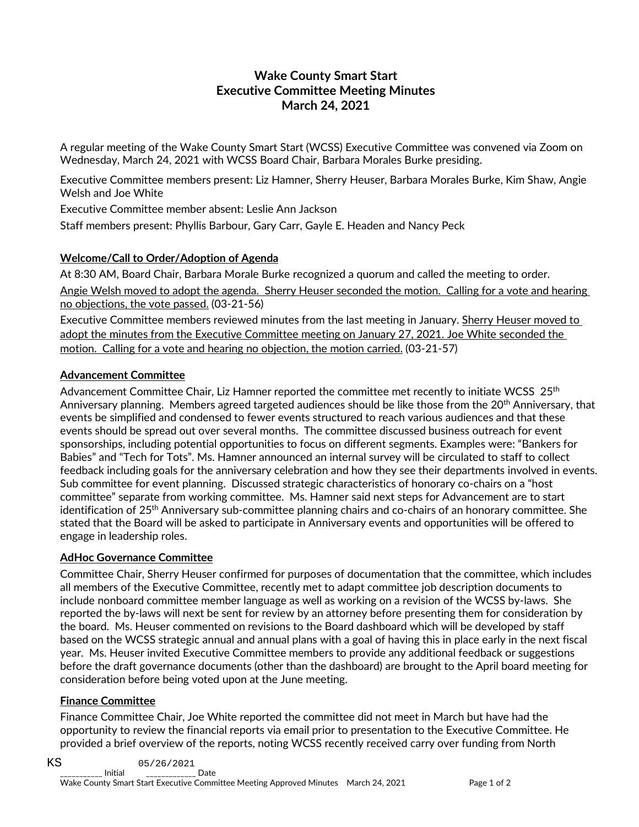# **Wake County Smart Start Executive Committee Meeting Minutes March 24, 2021**

A regular meeting of the Wake County Smart Start (WCSS) Executive Committee was convened via Zoom on Wednesday, March 24, 2021 with WCSS Board Chair, Barbara Morales Burke presiding.

Executive Committee members present: Liz Hamner, Sherry Heuser, Barbara Morales Burke, Kim Shaw, Angie Welsh and Joe White

Executive Committee member absent: Leslie Ann Jackson

Staff members present: Phyllis Barbour, Gary Carr, Gayle E. Headen and Nancy Peck

# **Welcome/Call to Order/Adoption of Agenda**

At 8:30 AM, Board Chair, Barbara Morale Burke recognized a quorum and called the meeting to order. Angie Welsh moved to adopt the agenda. Sherry Heuser seconded the motion. Calling for a vote and hearing no objections, the vote passed. (03-21-56)

Executive Committee members reviewed minutes from the last meeting in January. Sherry Heuser moved to adopt the minutes from the Executive Committee meeting on January 27, 2021. Joe White seconded the motion. Calling for a vote and hearing no objection, the motion carried. (03-21-57)

# **Advancement Committee**

Advancement Committee Chair, Liz Hamner reported the committee met recently to initiate WCSS 25<sup>th</sup> Anniversary planning. Members agreed targeted audiences should be like those from the 20<sup>th</sup> Anniversary, that events be simplified and condensed to fewer events structured to reach various audiences and that these events should be spread out over several months. The committee discussed business outreach for event sponsorships, including potential opportunities to focus on different segments. Examples were: "Bankers for Babies" and "Tech for Tots". Ms. Hamner announced an internal survey will be circulated to staff to collect feedback including goals for the anniversary celebration and how they see their departments involved in events. Sub committee for event planning. Discussed strategic characteristics of honorary co-chairs on a "host committee" separate from working committee. Ms. Hamner said next steps for Advancement are to start identification of 25th Anniversary sub-committee planning chairs and co-chairs of an honorary committee. She stated that the Board will be asked to participate in Anniversary events and opportunities will be offered to engage in leadership roles.

### **AdHoc Governance Committee**

Committee Chair, Sherry Heuser confirmed for purposes of documentation that the committee, which includes all members of the Executive Committee, recently met to adapt committee job description documents to include nonboard committee member language as well as working on a revision of the WCSS by-laws. She reported the by-laws will next be sent for review by an attorney before presenting them for consideration by the board. Ms. Heuser commented on revisions to the Board dashboard which will be developed by staff based on the WCSS strategic annual and annual plans with a goal of having this in place early in the next fiscal year. Ms. Heuser invited Executive Committee members to provide any additional feedback or suggestions before the draft governance documents (other than the dashboard) are brought to the April board meeting for consideration before being voted upon at the June meeting.

### **Finance Committee**

Finance Committee Chair, Joe White reported the committee did not meet in March but have had the opportunity to review the financial reports via email prior to presentation to the Executive Committee. He provided a brief overview of the reports, noting WCSS recently received carry over funding from North